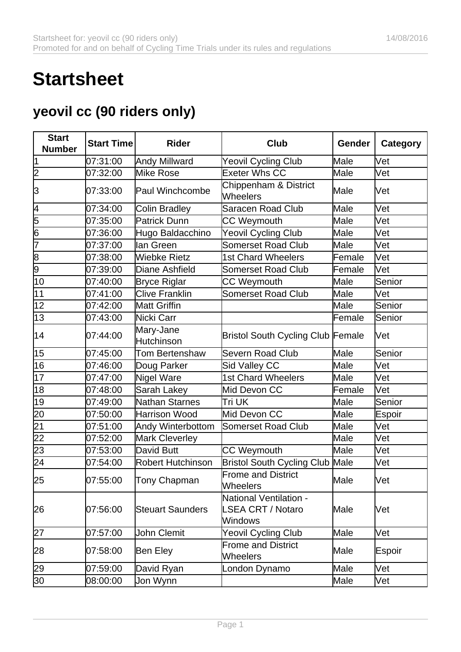## **Startsheet**

## **yeovil cc (90 riders only)**

| <b>Start</b><br><b>Number</b> | <b>Start Time</b> | <b>Rider</b>                   | Club                                                                | Gender | Category   |
|-------------------------------|-------------------|--------------------------------|---------------------------------------------------------------------|--------|------------|
| 1                             | 07:31:00          | Andy Millward                  | <b>Yeovil Cycling Club</b>                                          | Male   | Vet        |
| $\overline{\mathsf{2}}$       | 07:32:00          | Mike Rose                      | Exeter Whs CC                                                       | Male   | Vet        |
| 3                             | 07:33:00          | Paul Winchcombe                | Chippenham & District<br>Wheelers                                   | Male   | Vet        |
| $\overline{4}$                | 07:34:00          | Colin Bradley                  | <b>Saracen Road Club</b>                                            | Male   | <b>Vet</b> |
| $\overline{5}$                | 07:35:00          | Patrick Dunn                   | <b>CC Weymouth</b>                                                  | Male   | Vet        |
| $\overline{6}$                | 07:36:00          | Hugo Baldacchino               | Yeovil Cycling Club                                                 | Male   | Vet        |
| 7                             | 07:37:00          | lan Green                      | <b>Somerset Road Club</b>                                           | Male   | Vet        |
| $\frac{8}{9}$                 | 07:38:00          | <b>Wiebke Rietz</b>            | <b>1st Chard Wheelers</b>                                           | Female | lVet       |
|                               | 07:39:00          | Diane Ashfield                 | <b>Somerset Road Club</b>                                           | Female | Vet        |
| $\overline{10}$               | 07:40:00          | <b>Bryce Riglar</b>            | <b>CC Weymouth</b>                                                  | Male   | Senior     |
| 11                            | 07:41:00          | <b>Clive Franklin</b>          | <b>Somerset Road Club</b>                                           | Male   | Vet        |
| 12                            | 07:42:00          | Matt Griffin                   |                                                                     | Male   | Senior     |
| 13                            | 07:43:00          | Nicki Carr                     |                                                                     | Female | Senior     |
| 14                            | 07:44:00          | Mary-Jane<br><b>Hutchinson</b> | <b>Bristol South Cycling Club Female</b>                            |        | Vet        |
| 15                            | 07:45:00          | <b>Tom Bertenshaw</b>          | <b>Severn Road Club</b>                                             | Male   | Senior     |
| 16                            | 07:46:00          | Doug Parker                    | <b>Sid Valley CC</b>                                                | Male   | Vet        |
| 17                            | 07:47:00          | Nigel Ware                     | <b>1st Chard Wheelers</b>                                           | Male   | Vet        |
| 18                            | 07:48:00          | Sarah Lakey                    | Mid Devon CC                                                        | Female | Vet        |
| 19                            | 07:49:00          | Nathan Starnes                 | Tri UK                                                              | Male   | Senior     |
| 20                            | 07:50:00          | Harrison Wood                  | Mid Devon CC                                                        | Male   | Espoir     |
| $\overline{21}$               | 07:51:00          | Andy Winterbottom              | <b>Somerset Road Club</b>                                           | Male   | Vet        |
| $\overline{22}$               | 07:52:00          | Mark Cleverley                 |                                                                     | Male   | Vet        |
| $\overline{23}$               | 07:53:00          | David Butt                     | <b>CC Weymouth</b>                                                  | Male   | Vet        |
| 24                            | 07:54:00          | Robert Hutchinson              | <b>Bristol South Cycling Club Male</b>                              |        | Vet        |
| 25                            | 07:55:00          | Tony Chapman                   | <b>Frome and District</b><br>Wheelers                               | Male   | Vet        |
| 26                            | 07:56:00          | <b>Steuart Saunders</b>        | National Ventilation -<br><b>SEA CRT / Notaro</b><br><b>Windows</b> | Male   | Wet        |
| $\overline{27}$               | 07:57:00          | John Clemit                    | <b>Yeovil Cycling Club</b>                                          | Male   | Vet        |
| 28                            | 07:58:00          | Ben Eley                       | <b>Frome and District</b><br>Wheelers                               | Male   | Espoir     |
| 29                            | 07:59:00          | David Ryan                     | London Dynamo                                                       | Male   | Vet        |
| 30 <sup>2</sup>               | 08:00:00          | Jon Wynn                       |                                                                     | Male   | Vet        |